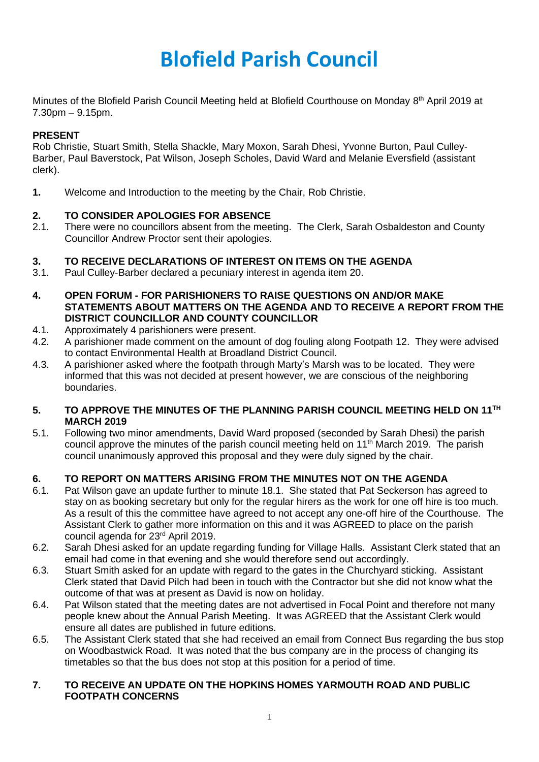# **Blofield Parish Council**

Minutes of the Blofield Parish Council Meeting held at Blofield Courthouse on Monday 8<sup>th</sup> April 2019 at 7.30pm – 9.15pm.

## **PRESENT**

Rob Christie, Stuart Smith, Stella Shackle, Mary Moxon, Sarah Dhesi, Yvonne Burton, Paul Culley-Barber, Paul Baverstock, Pat Wilson, Joseph Scholes, David Ward and Melanie Eversfield (assistant clerk).

**1.** Welcome and Introduction to the meeting by the Chair, Rob Christie.

## **2. TO CONSIDER APOLOGIES FOR ABSENCE**

2.1. There were no councillors absent from the meeting. The Clerk, Sarah Osbaldeston and County Councillor Andrew Proctor sent their apologies.

## **3. TO RECEIVE DECLARATIONS OF INTEREST ON ITEMS ON THE AGENDA**

- 3.1. Paul Culley-Barber declared a pecuniary interest in agenda item 20.
- **4. OPEN FORUM - FOR PARISHIONERS TO RAISE QUESTIONS ON AND/OR MAKE STATEMENTS ABOUT MATTERS ON THE AGENDA AND TO RECEIVE A REPORT FROM THE DISTRICT COUNCILLOR AND COUNTY COUNCILLOR**
- 4.1. Approximately 4 parishioners were present.
- 4.2. A parishioner made comment on the amount of dog fouling along Footpath 12. They were advised to contact Environmental Health at Broadland District Council.
- 4.3. A parishioner asked where the footpath through Marty's Marsh was to be located. They were informed that this was not decided at present however, we are conscious of the neighboring boundaries.

## 5. TO APPROVE THE MINUTES OF THE PLANNING PARISH COUNCIL MEETING HELD ON 11<sup>TH</sup> **MARCH 2019**

5.1. Following two minor amendments, David Ward proposed (seconded by Sarah Dhesi) the parish council approve the minutes of the parish council meeting held on 11<sup>th</sup> March 2019. The parish council unanimously approved this proposal and they were duly signed by the chair.

## **6. TO REPORT ON MATTERS ARISING FROM THE MINUTES NOT ON THE AGENDA**

- 6.1. Pat Wilson gave an update further to minute 18.1. She stated that Pat Seckerson has agreed to stay on as booking secretary but only for the regular hirers as the work for one off hire is too much. As a result of this the committee have agreed to not accept any one-off hire of the Courthouse. The Assistant Clerk to gather more information on this and it was AGREED to place on the parish council agenda for 23rd April 2019.
- 6.2. Sarah Dhesi asked for an update regarding funding for Village Halls. Assistant Clerk stated that an email had come in that evening and she would therefore send out accordingly.
- 6.3. Stuart Smith asked for an update with regard to the gates in the Churchyard sticking. Assistant Clerk stated that David Pilch had been in touch with the Contractor but she did not know what the outcome of that was at present as David is now on holiday.
- 6.4. Pat Wilson stated that the meeting dates are not advertised in Focal Point and therefore not many people knew about the Annual Parish Meeting. It was AGREED that the Assistant Clerk would ensure all dates are published in future editions.
- 6.5. The Assistant Clerk stated that she had received an email from Connect Bus regarding the bus stop on Woodbastwick Road. It was noted that the bus company are in the process of changing its timetables so that the bus does not stop at this position for a period of time.

## **7. TO RECEIVE AN UPDATE ON THE HOPKINS HOMES YARMOUTH ROAD AND PUBLIC FOOTPATH CONCERNS**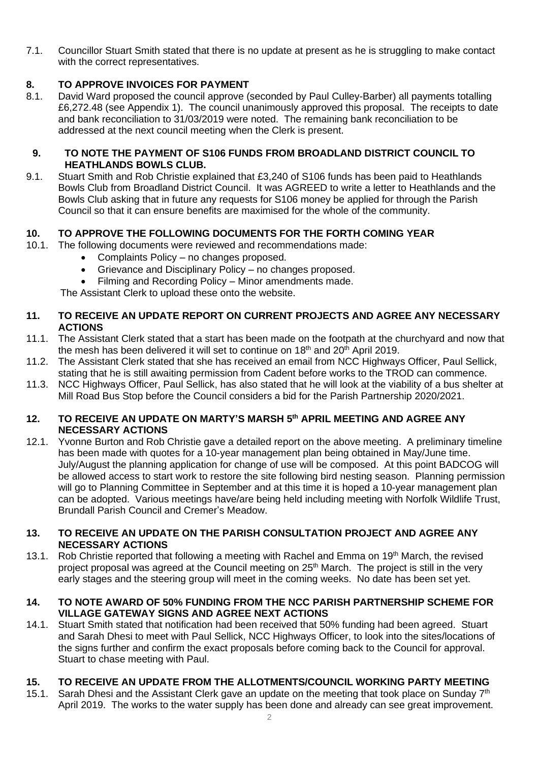7.1. Councillor Stuart Smith stated that there is no update at present as he is struggling to make contact with the correct representatives.

## **8. TO APPROVE INVOICES FOR PAYMENT**<br>**8.1.** David Ward proposed the council approve (

David Ward proposed the council approve (seconded by Paul Culley-Barber) all payments totalling £6,272.48 (see Appendix 1). The council unanimously approved this proposal. The receipts to date and bank reconciliation to 31/03/2019 were noted. The remaining bank reconciliation to be addressed at the next council meeting when the Clerk is present.

## **9. TO NOTE THE PAYMENT OF S106 FUNDS FROM BROADLAND DISTRICT COUNCIL TO HEATHLANDS BOWLS CLUB.**

9.1. Stuart Smith and Rob Christie explained that £3,240 of S106 funds has been paid to Heathlands Bowls Club from Broadland District Council. It was AGREED to write a letter to Heathlands and the Bowls Club asking that in future any requests for S106 money be applied for through the Parish Council so that it can ensure benefits are maximised for the whole of the community.

## **10. TO APPROVE THE FOLLOWING DOCUMENTS FOR THE FORTH COMING YEAR**

- 10.1. The following documents were reviewed and recommendations made:
	- Complaints Policy no changes proposed.
	- Grievance and Disciplinary Policy no changes proposed.
	- Filming and Recording Policy Minor amendments made.

The Assistant Clerk to upload these onto the website.

## **11. TO RECEIVE AN UPDATE REPORT ON CURRENT PROJECTS AND AGREE ANY NECESSARY ACTIONS**

- 11.1. The Assistant Clerk stated that a start has been made on the footpath at the churchyard and now that the mesh has been delivered it will set to continue on 18<sup>th</sup> and 20<sup>th</sup> April 2019.
- 11.2. The Assistant Clerk stated that she has received an email from NCC Highways Officer, Paul Sellick, stating that he is still awaiting permission from Cadent before works to the TROD can commence.
- 11.3. NCC Highways Officer, Paul Sellick, has also stated that he will look at the viability of a bus shelter at Mill Road Bus Stop before the Council considers a bid for the Parish Partnership 2020/2021.

## **12. TO RECEIVE AN UPDATE ON MARTY'S MARSH 5 th APRIL MEETING AND AGREE ANY NECESSARY ACTIONS**

12.1. Yvonne Burton and Rob Christie gave a detailed report on the above meeting. A preliminary timeline has been made with quotes for a 10-year management plan being obtained in May/June time. July/August the planning application for change of use will be composed. At this point BADCOG will be allowed access to start work to restore the site following bird nesting season. Planning permission will go to Planning Committee in September and at this time it is hoped a 10-year management plan can be adopted. Various meetings have/are being held including meeting with Norfolk Wildlife Trust, Brundall Parish Council and Cremer's Meadow.

## **13. TO RECEIVE AN UPDATE ON THE PARISH CONSULTATION PROJECT AND AGREE ANY NECESSARY ACTIONS**

13.1. Rob Christie reported that following a meeting with Rachel and Emma on 19<sup>th</sup> March, the revised project proposal was agreed at the Council meeting on 25<sup>th</sup> March. The project is still in the very early stages and the steering group will meet in the coming weeks. No date has been set yet.

## **14. TO NOTE AWARD OF 50% FUNDING FROM THE NCC PARISH PARTNERSHIP SCHEME FOR VILLAGE GATEWAY SIGNS AND AGREE NEXT ACTIONS**

14.1. Stuart Smith stated that notification had been received that 50% funding had been agreed. Stuart and Sarah Dhesi to meet with Paul Sellick, NCC Highways Officer, to look into the sites/locations of the signs further and confirm the exact proposals before coming back to the Council for approval. Stuart to chase meeting with Paul.

## **15. TO RECEIVE AN UPDATE FROM THE ALLOTMENTS/COUNCIL WORKING PARTY MEETING**

15.1. Sarah Dhesi and the Assistant Clerk gave an update on the meeting that took place on Sunday  $7<sup>th</sup>$ April 2019. The works to the water supply has been done and already can see great improvement.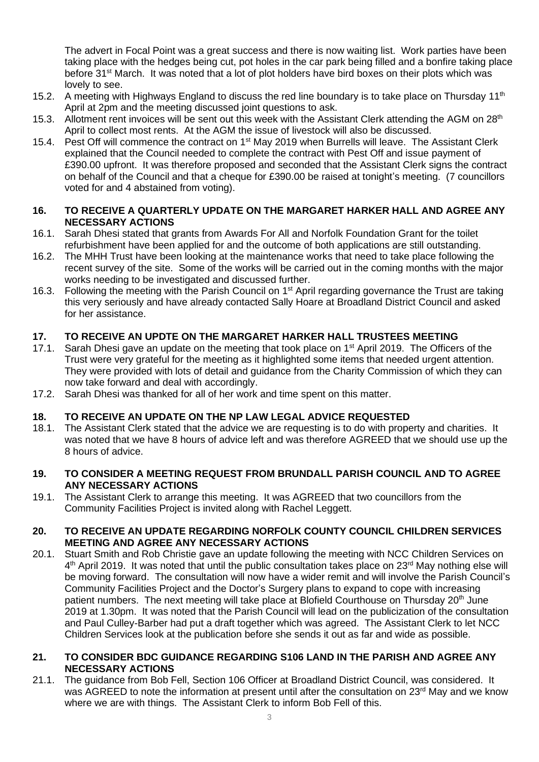The advert in Focal Point was a great success and there is now waiting list. Work parties have been taking place with the hedges being cut, pot holes in the car park being filled and a bonfire taking place before 31<sup>st</sup> March. It was noted that a lot of plot holders have bird boxes on their plots which was lovely to see.

- 15.2. A meeting with Highways England to discuss the red line boundary is to take place on Thursday 11<sup>th</sup> April at 2pm and the meeting discussed joint questions to ask.
- 15.3. Allotment rent invoices will be sent out this week with the Assistant Clerk attending the AGM on 28<sup>th</sup> April to collect most rents. At the AGM the issue of livestock will also be discussed.
- 15.4. Pest Off will commence the contract on 1<sup>st</sup> May 2019 when Burrells will leave. The Assistant Clerk explained that the Council needed to complete the contract with Pest Off and issue payment of £390.00 upfront. It was therefore proposed and seconded that the Assistant Clerk signs the contract on behalf of the Council and that a cheque for £390.00 be raised at tonight's meeting. (7 councillors voted for and 4 abstained from voting).

## **16. TO RECEIVE A QUARTERLY UPDATE ON THE MARGARET HARKER HALL AND AGREE ANY NECESSARY ACTIONS**

- 16.1. Sarah Dhesi stated that grants from Awards For All and Norfolk Foundation Grant for the toilet refurbishment have been applied for and the outcome of both applications are still outstanding.
- 16.2. The MHH Trust have been looking at the maintenance works that need to take place following the recent survey of the site. Some of the works will be carried out in the coming months with the major works needing to be investigated and discussed further.
- 16.3. Following the meeting with the Parish Council on 1<sup>st</sup> April regarding governance the Trust are taking this very seriously and have already contacted Sally Hoare at Broadland District Council and asked for her assistance.

## **17. TO RECEIVE AN UPDTE ON THE MARGARET HARKER HALL TRUSTEES MEETING**

- 17.1. Sarah Dhesi gave an update on the meeting that took place on 1<sup>st</sup> April 2019. The Officers of the Trust were very grateful for the meeting as it highlighted some items that needed urgent attention. They were provided with lots of detail and guidance from the Charity Commission of which they can now take forward and deal with accordingly.
- 17.2. Sarah Dhesi was thanked for all of her work and time spent on this matter.

## **18. TO RECEIVE AN UPDATE ON THE NP LAW LEGAL ADVICE REQUESTED**

18.1. The Assistant Clerk stated that the advice we are requesting is to do with property and charities. It was noted that we have 8 hours of advice left and was therefore AGREED that we should use up the 8 hours of advice.

## **19. TO CONSIDER A MEETING REQUEST FROM BRUNDALL PARISH COUNCIL AND TO AGREE ANY NECESSARY ACTIONS**

19.1. The Assistant Clerk to arrange this meeting. It was AGREED that two councillors from the Community Facilities Project is invited along with Rachel Leggett.

## **20. TO RECEIVE AN UPDATE REGARDING NORFOLK COUNTY COUNCIL CHILDREN SERVICES MEETING AND AGREE ANY NECESSARY ACTIONS**

20.1. Stuart Smith and Rob Christie gave an update following the meeting with NCC Children Services on 4<sup>th</sup> April 2019. It was noted that until the public consultation takes place on 23<sup>rd</sup> May nothing else will be moving forward. The consultation will now have a wider remit and will involve the Parish Council's Community Facilities Project and the Doctor's Surgery plans to expand to cope with increasing patient numbers. The next meeting will take place at Blofield Courthouse on Thursday 20<sup>th</sup> June 2019 at 1.30pm. It was noted that the Parish Council will lead on the publicization of the consultation and Paul Culley-Barber had put a draft together which was agreed. The Assistant Clerk to let NCC Children Services look at the publication before she sends it out as far and wide as possible.

## **21. TO CONSIDER BDC GUIDANCE REGARDING S106 LAND IN THE PARISH AND AGREE ANY NECESSARY ACTIONS**

21.1. The guidance from Bob Fell, Section 106 Officer at Broadland District Council, was considered. It was AGREED to note the information at present until after the consultation on 23<sup>rd</sup> May and we know where we are with things. The Assistant Clerk to inform Bob Fell of this.